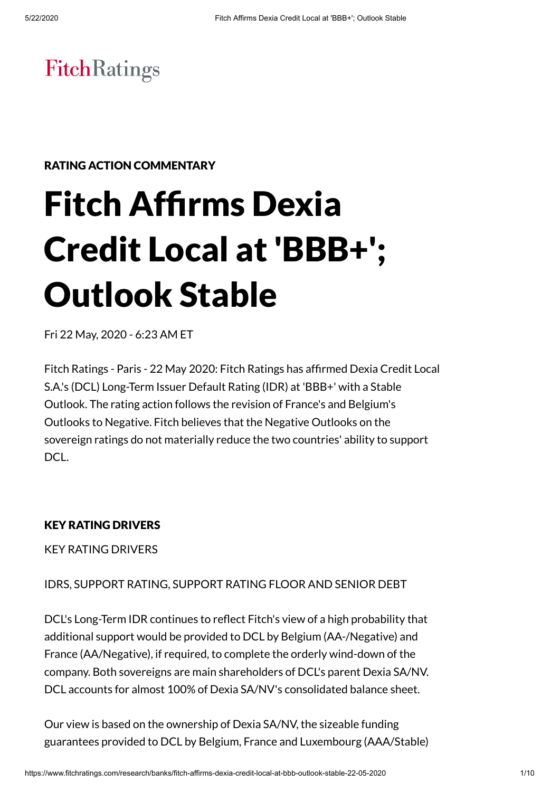# **FitchRatings**

#### RATING ACTION COMMENTARY

# Fitch Affirms Dexia Credit Local at 'BBB+'; Outlook Stable

Fri 22 May, 2020 - 6:23 AM ET

Fitch Ratings - Paris - 22 May 2020: Fitch Ratings has affirmed Dexia Credit Local S.A.'s (DCL) Long-Term Issuer Default Rating (IDR) at 'BBB+' with a Stable Outlook. The rating action follows the revision of France's and Belgium's Outlooks to Negative. Fitch believes that the Negative Outlooks on the sovereign ratings do not materially reduce the two countries' ability to support DCL.

#### KEY RATING DRIVERS

KEY RATING DRIVERS

IDRS, SUPPORT RATING, SUPPORT RATING FLOOR AND SENIOR DEBT

DCL's Long-Term IDR continues to reflect Fitch's view of a high probability that additional support would be provided to DCL by Belgium (AA-/Negative) and France (AA/Negative), if required, to complete the orderly wind-down of the company. Both sovereigns are main shareholders of DCL's parent Dexia SA/NV. DCL accounts for almost 100% of Dexia SA/NV's consolidated balance sheet.

Our view is based on the ownership of Dexia SA/NV, the sizeable funding guarantees provided to DCL by Belgium, France and Luxembourg (AAA/Stable)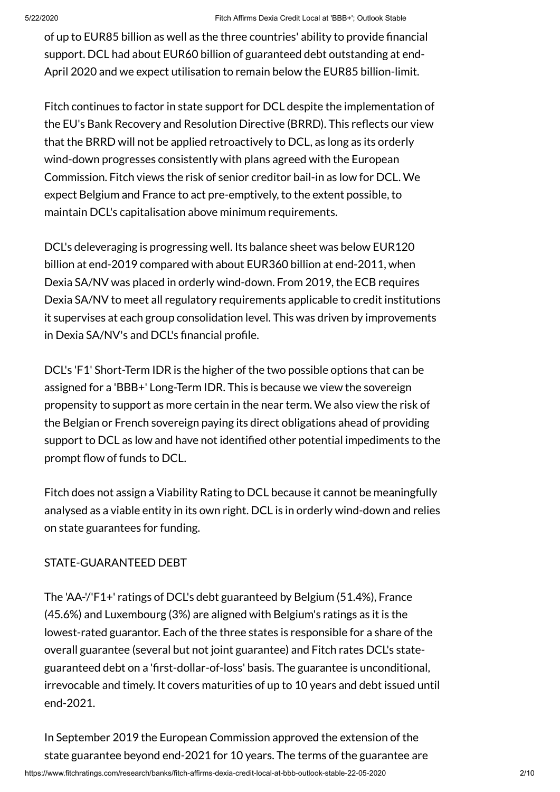of up to EUR85 billion as well as the three countries' ability to provide financial support. DCL had about EUR60 billion of guaranteed debt outstanding at end-April 2020 and we expect utilisation to remain below the EUR85 billion-limit.

Fitch continues to factor in state support for DCL despite the implementation of the EU's Bank Recovery and Resolution Directive (BRRD). This reflects our view that the BRRD will not be applied retroactively to DCL, as long as its orderly wind-down progresses consistently with plans agreed with the European Commission. Fitch views the risk of senior creditor bail-in as low for DCL. We expect Belgium and France to act pre-emptively, to the extent possible, to maintain DCL's capitalisation above minimum requirements.

DCL's deleveraging is progressing well. Its balance sheet was below EUR120 billion at end-2019 compared with about EUR360 billion at end-2011, when Dexia SA/NV was placed in orderly wind-down. From 2019, the ECB requires Dexia SA/NV to meet all regulatory requirements applicable to credit institutions it supervises at each group consolidation level. This was driven by improvements in Dexia SA/NV's and DCL's financial profile.

DCL's 'F1' Short-Term IDR is the higher of the two possible options that can be assigned for a 'BBB+' Long-Term IDR. This is because we view the sovereign propensity to support as more certain in the near term. We also view the risk of the Belgian or French sovereign paying its direct obligations ahead of providing support to DCL as low and have not identified other potential impediments to the prompt flow of funds to DCL.

Fitch does not assign a Viability Rating to DCL because it cannot be meaningfully analysed as a viable entity in its own right. DCL is in orderly wind-down and relies on state guarantees for funding.

#### STATE-GUARANTEED DEBT

The 'AA-'/'F1+' ratings of DCL's debt guaranteed by Belgium (51.4%), France (45.6%) and Luxembourg (3%) are aligned with Belgium's ratings as it is the lowest-rated guarantor. Each of the three states is responsible for a share of the overall guarantee (several but not joint guarantee) and Fitch rates DCL's stateguaranteed debt on a 'first-dollar-of-loss' basis. The guarantee is unconditional, irrevocable and timely. It covers maturities of up to 10 years and debt issued until end-2021.

In September 2019 the European Commission approved the extension of the state guarantee beyond end-2021 for 10 years. The terms of the guarantee are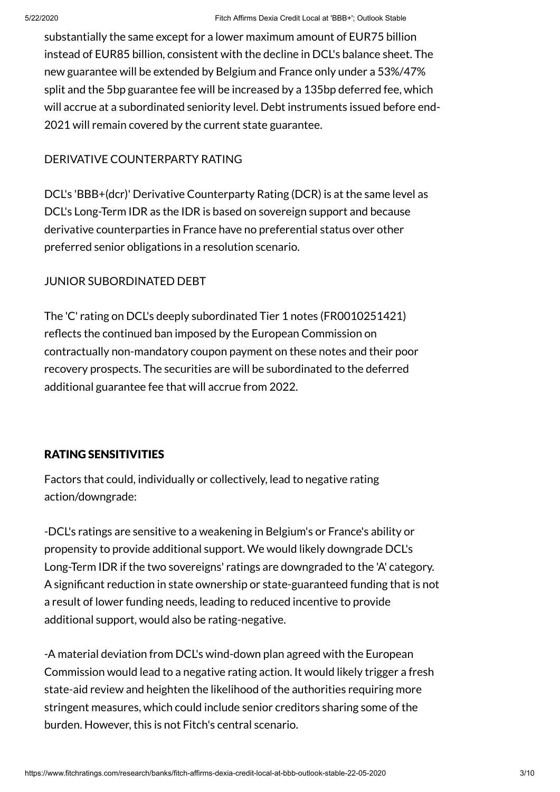substantially the same except for a lower maximum amount of EUR75 billion instead of EUR85 billion, consistent with the decline in DCL's balance sheet. The new guarantee will be extended by Belgium and France only under a 53%/47% split and the 5bp guarantee fee will be increased by a 135bp deferred fee, which will accrue at a subordinated seniority level. Debt instruments issued before end-2021 will remain covered by the current state guarantee.

#### DERIVATIVE COUNTERPARTY RATING

DCL's 'BBB+(dcr)' Derivative Counterparty Rating (DCR) is at the same level as DCL's Long-Term IDR as the IDR is based on sovereign support and because derivative counterparties in France have no preferential status over other preferred senior obligations in a resolution scenario.

#### JUNIOR SUBORDINATED DEBT

The 'C' rating on DCL's deeply subordinated Tier 1 notes (FR0010251421) reflects the continued ban imposed by the European Commission on contractually non-mandatory coupon payment on these notes and their poor recovery prospects. The securities are will be subordinated to the deferred additional guarantee fee that will accrue from 2022.

#### RATING SENSITIVITIES

Factors that could, individually or collectively, lead to negative rating action/downgrade:

-DCL's ratings are sensitive to a weakening in Belgium's or France's ability or propensity to provide additional support. We would likely downgrade DCL's Long-Term IDR if the two sovereigns' ratings are downgraded to the 'A' category. A significant reduction in state ownership or state-guaranteed funding that is not a result of lower funding needs, leading to reduced incentive to provide additional support, would also be rating-negative.

-A material deviation from DCL's wind-down plan agreed with the European Commission would lead to a negative rating action. It would likely trigger a fresh state-aid review and heighten the likelihood of the authorities requiring more stringent measures, which could include senior creditors sharing some of the burden. However, this is not Fitch's central scenario.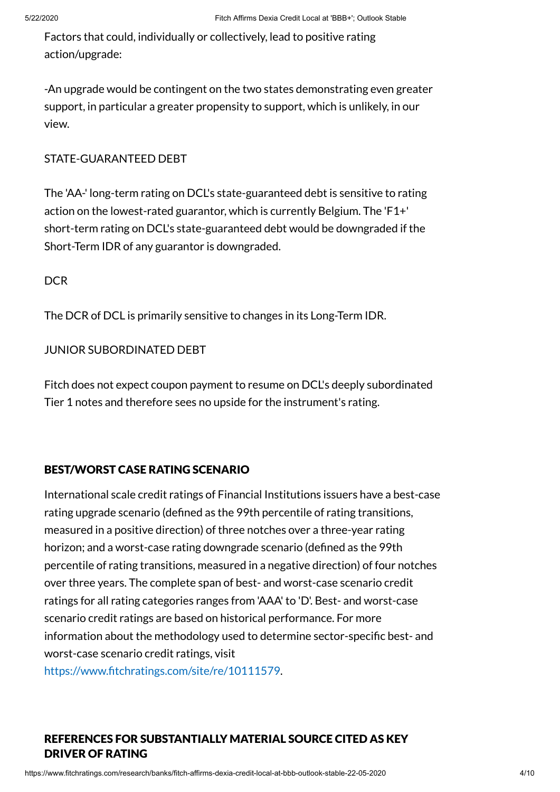Factors that could, individually or collectively, lead to positive rating action/upgrade:

-An upgrade would be contingent on the two states demonstrating even greater support, in particular a greater propensity to support, which is unlikely, in our view.

#### STATE-GUARANTEED DEBT

The 'AA-' long-term rating on DCL's state-guaranteed debt is sensitive to rating action on the lowest-rated guarantor, which is currently Belgium. The 'F1+' short-term rating on DCL's state-guaranteed debt would be downgraded if the Short-Term IDR of any guarantor is downgraded.

#### **DCR**

The DCR of DCL is primarily sensitive to changes in its Long-Term IDR.

#### JUNIOR SUBORDINATED DEBT

Fitch does not expect coupon payment to resume on DCL's deeply subordinated Tier 1 notes and therefore sees no upside for the instrument's rating.

#### BEST/WORST CASE RATING SCENARIO

International scale credit ratings of Financial Institutions issuers have a best-case rating upgrade scenario (defined as the 99th percentile of rating transitions, measured in a positive direction) of three notches over a three-year rating horizon; and a worst-case rating downgrade scenario (defined as the 99th percentile of rating transitions, measured in a negative direction) of four notches over three years. The complete span of best- and worst-case scenario credit ratings for all rating categories ranges from 'AAA' to 'D'. Best- and worst-case scenario credit ratings are based on historical performance. For more information about the methodology used to determine sector-specific best- and worst-case scenario credit ratings, visit

<https://www.fitchratings.com/site/re/10111579>.

## REFERENCES FOR SUBSTANTIALLY MATERIAL SOURCE CITED AS KEY DRIVER OF RATING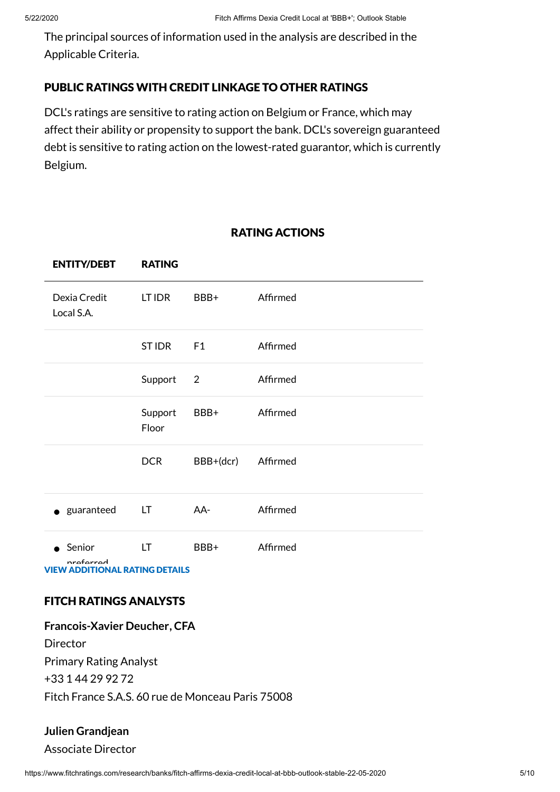The principal sources of information used in the analysis are described in the Applicable Criteria.

#### PUBLIC RATINGS WITH CREDIT LINKAGE TO OTHER RATINGS

DCL's ratings are sensitive to rating action on Belgium or France, which may affect their ability or propensity to support the bank. DCL's sovereign guaranteed debt is sensitive to rating action on the lowest-rated guarantor, which is currently Belgium.

| <b>ENTITY/DEBT</b>         | <b>RATING</b>    |                |          |
|----------------------------|------------------|----------------|----------|
| Dexia Credit<br>Local S.A. | LT IDR           | BBB+           | Affirmed |
|                            | <b>STIDR</b>     | F <sub>1</sub> | Affirmed |
|                            | Support          | 2              | Affirmed |
|                            | Support<br>Floor | BBB+           | Affirmed |
|                            | <b>DCR</b>       | BBB+(dcr)      | Affirmed |
| · guaranteed               | LT.              | AA-            | Affirmed |
| • Senior                   | LT               | BBB+           | Affirmed |

#### RATING ACTIONS

VIEW ADDITIONAL RATING DETAILS preferred

#### FITCH RATINGS ANALYSTS

**Francois-Xavier Deucher, CFA** Director Primary Rating Analyst +33 1 44 29 92 72 Fitch France S.A.S. 60 rue de Monceau Paris 75008

#### **Julien Grandjean**

Associate Director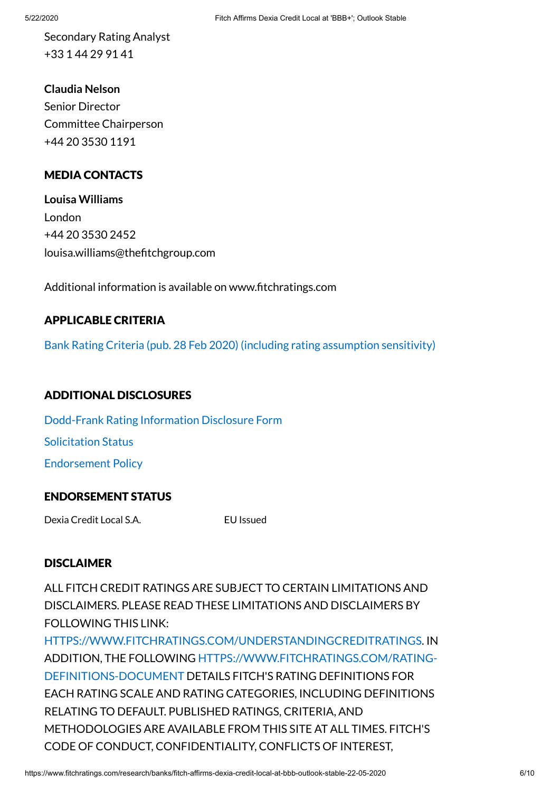Secondary Rating Analyst +33 1 44 29 91 41

#### **Claudia Nelson**

Senior Director Committee Chairperson +44 20 3530 1191

### MEDIA CONTACTS

**Louisa Williams** London +44 20 3530 2452 louisa.williams@thefitchgroup.com

Additional information is available on www.fitchratings.com

#### APPLICABLE CRITERIA

Bank Rating Criteria (pub. 28 Feb 2020) (including rating [assumption](https://www.fitchratings.com/research/banks/bank-rating-criteria-28-02-2020) sensitivity)

#### ADDITIONAL DISCLOSURES

[Dodd-Frank](https://www.fitchratings.com/research/banks/fitch-affirms-dexia-credit-local-at-bbb-outlook-stable-22-05-2020/dodd-frank-disclosure) Rating Information Disclosure Form Solicitation Status [Endorsement](https://www.fitchratings.com/regulatory) Policy

#### ENDORSEMENT STATUS

Dexia Credit Local S.A. EU Issued

#### **DISCLAIMER**

ALL FITCH CREDIT RATINGS ARE SUBJECT TO CERTAIN LIMITATIONS AND DISCLAIMERS. PLEASE READ THESE LIMITATIONS AND DISCLAIMERS BY FOLLOWING THIS LINK:

[HTTPS://WWW.FITCHRATINGS.COM/UNDERSTANDINGCREDITRATINGS](https://www.fitchratings.com/UNDERSTANDINGCREDITRATINGS). IN ADDITION, THE FOLLOWING [HTTPS://WWW.FITCHRATINGS.COM/RATING-](https://www.fitchratings.com/rating-definitions-document)DEFINITIONS-DOCUMENT DETAILS FITCH'S RATING DEFINITIONS FOR EACH RATING SCALE AND RATING CATEGORIES, INCLUDING DEFINITIONS RELATING TO DEFAULT. PUBLISHED RATINGS, CRITERIA, AND METHODOLOGIES ARE AVAILABLE FROM THIS SITE AT ALL TIMES. FITCH'S CODE OF CONDUCT, CONFIDENTIALITY, CONFLICTS OF INTEREST,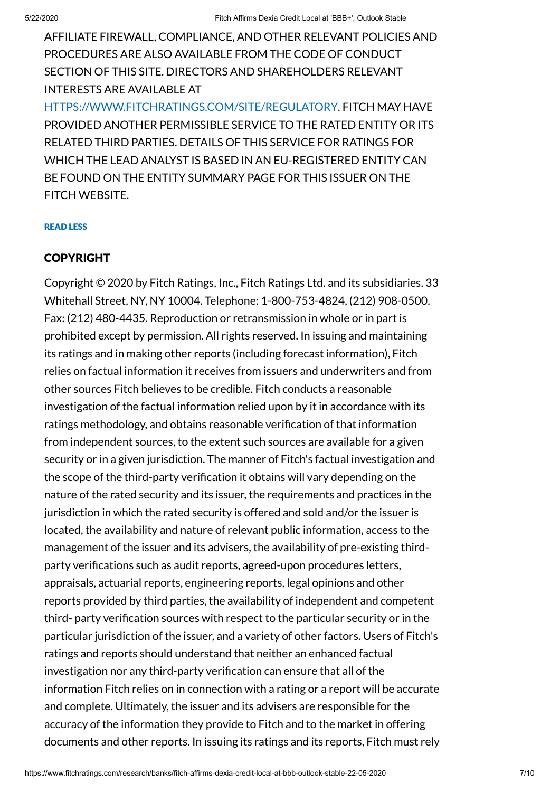AFFILIATE FIREWALL, COMPLIANCE, AND OTHER RELEVANT POLICIES AND PROCEDURES ARE ALSO AVAILABLE FROM THE CODE OF CONDUCT SECTION OF THIS SITE. DIRECTORS AND SHAREHOLDERS RELEVANT INTERESTS ARE AVAILABLE AT

[HTTPS://WWW.FITCHRATINGS.COM/SITE/REGULATORY](https://www.fitchratings.com/site/regulatory). FITCH MAY HAVE PROVIDED ANOTHER PERMISSIBLE SERVICE TO THE RATED ENTITY OR ITS RELATED THIRD PARTIES. DETAILS OF THIS SERVICE FOR RATINGS FOR WHICH THE LEAD ANALYST IS BASED IN AN EU-REGISTERED ENTITY CAN BE FOUND ON THE ENTITY SUMMARY PAGE FOR THIS ISSUER ON THE FITCH WEBSITE.

#### READ LESS

#### COPYRIGHT

Copyright © 2020 by Fitch Ratings, Inc., Fitch Ratings Ltd. and its subsidiaries. 33 Whitehall Street, NY, NY 10004. Telephone: 1-800-753-4824, (212) 908-0500. Fax: (212) 480-4435. Reproduction or retransmission in whole or in part is prohibited except by permission. All rights reserved. In issuing and maintaining its ratings and in making other reports (including forecast information), Fitch relies on factual information it receives from issuers and underwriters and from other sources Fitch believes to be credible. Fitch conducts a reasonable investigation of the factual information relied upon by it in accordance with its ratings methodology, and obtains reasonable verification of that information from independent sources, to the extent such sources are available for a given security or in a given jurisdiction. The manner of Fitch's factual investigation and the scope of the third-party verification it obtains will vary depending on the nature of the rated security and its issuer, the requirements and practices in the jurisdiction in which the rated security is offered and sold and/or the issuer is located, the availability and nature of relevant public information, access to the management of the issuer and its advisers, the availability of pre-existing thirdparty verifications such as audit reports, agreed-upon procedures letters, appraisals, actuarial reports, engineering reports, legal opinions and other reports provided by third parties, the availability of independent and competent third- party verification sources with respect to the particular security or in the particular jurisdiction of the issuer, and a variety of other factors. Users of Fitch's ratings and reports should understand that neither an enhanced factual investigation nor any third-party verification can ensure that all of the information Fitch relies on in connection with a rating or a report will be accurate and complete. Ultimately, the issuer and its advisers are responsible for the accuracy of the information they provide to Fitch and to the market in offering documents and other reports. In issuing its ratings and its reports, Fitch must rely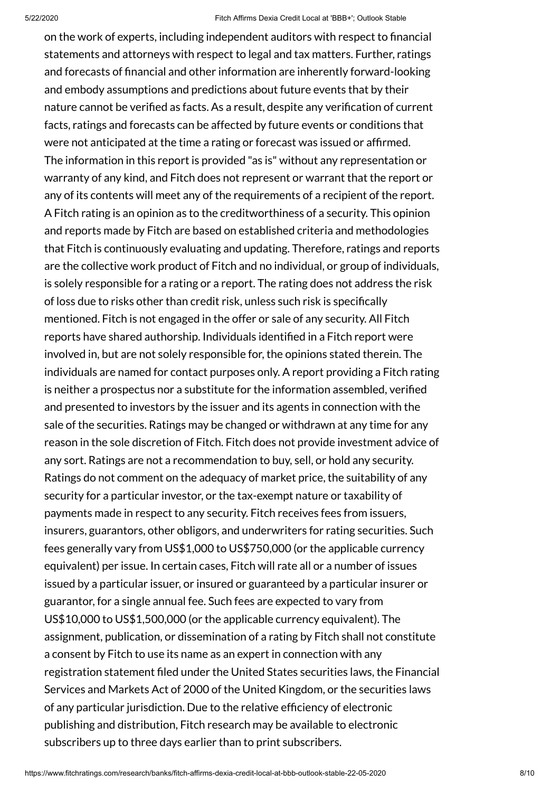on the work of experts, including independent auditors with respect to financial statements and attorneys with respect to legal and tax matters. Further, ratings and forecasts of financial and other information are inherently forward-looking and embody assumptions and predictions about future events that by their nature cannot be verified as facts. As a result, despite any verification of current facts, ratings and forecasts can be affected by future events or conditions that were not anticipated at the time a rating or forecast was issued or affirmed. The information in this report is provided "as is" without any representation or warranty of any kind, and Fitch does not represent or warrant that the report or any of its contents will meet any of the requirements of a recipient of the report. A Fitch rating is an opinion as to the creditworthiness of a security. This opinion and reports made by Fitch are based on established criteria and methodologies that Fitch is continuously evaluating and updating. Therefore, ratings and reports are the collective work product of Fitch and no individual, or group of individuals, is solely responsible for a rating or a report. The rating does not address the risk of loss due to risks other than credit risk, unless such risk is specifically mentioned. Fitch is not engaged in the offer or sale of any security. All Fitch reports have shared authorship. Individuals identified in a Fitch report were involved in, but are not solely responsible for, the opinions stated therein. The individuals are named for contact purposes only. A report providing a Fitch rating is neither a prospectus nor a substitute for the information assembled, verified and presented to investors by the issuer and its agents in connection with the sale of the securities. Ratings may be changed or withdrawn at any time for any reason in the sole discretion of Fitch. Fitch does not provide investment advice of any sort. Ratings are not a recommendation to buy, sell, or hold any security. Ratings do not comment on the adequacy of market price, the suitability of any security for a particular investor, or the tax-exempt nature or taxability of payments made in respect to any security. Fitch receives fees from issuers, insurers, guarantors, other obligors, and underwriters for rating securities. Such fees generally vary from US\$1,000 to US\$750,000 (or the applicable currency equivalent) per issue. In certain cases, Fitch will rate all or a number of issues issued by a particular issuer, or insured or guaranteed by a particular insurer or guarantor, for a single annual fee. Such fees are expected to vary from US\$10,000 to US\$1,500,000 (or the applicable currency equivalent). The assignment, publication, or dissemination of a rating by Fitch shall not constitute a consent by Fitch to use its name as an expert in connection with any registration statement filed under the United States securities laws, the Financial Services and Markets Act of 2000 of the United Kingdom, or the securities laws of any particular jurisdiction. Due to the relative efficiency of electronic publishing and distribution, Fitch research may be available to electronic subscribers up to three days earlier than to print subscribers.